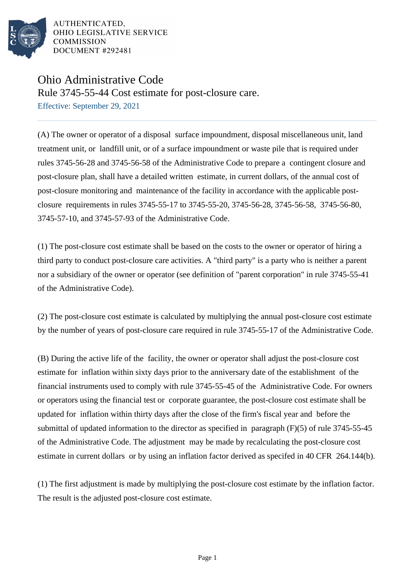

AUTHENTICATED. OHIO LEGISLATIVE SERVICE **COMMISSION** DOCUMENT #292481

## Ohio Administrative Code

Rule 3745-55-44 Cost estimate for post-closure care.

Effective: September 29, 2021

(A) The owner or operator of a disposal surface impoundment, disposal miscellaneous unit, land treatment unit, or landfill unit, or of a surface impoundment or waste pile that is required under rules 3745-56-28 and 3745-56-58 of the Administrative Code to prepare a contingent closure and post-closure plan, shall have a detailed written estimate, in current dollars, of the annual cost of post-closure monitoring and maintenance of the facility in accordance with the applicable postclosure requirements in rules 3745-55-17 to 3745-55-20, 3745-56-28, 3745-56-58, 3745-56-80, 3745-57-10, and 3745-57-93 of the Administrative Code.

(1) The post-closure cost estimate shall be based on the costs to the owner or operator of hiring a third party to conduct post-closure care activities. A "third party" is a party who is neither a parent nor a subsidiary of the owner or operator (see definition of "parent corporation" in rule 3745-55-41 of the Administrative Code).

(2) The post-closure cost estimate is calculated by multiplying the annual post-closure cost estimate by the number of years of post-closure care required in rule 3745-55-17 of the Administrative Code.

(B) During the active life of the facility, the owner or operator shall adjust the post-closure cost estimate for inflation within sixty days prior to the anniversary date of the establishment of the financial instruments used to comply with rule 3745-55-45 of the Administrative Code. For owners or operators using the financial test or corporate guarantee, the post-closure cost estimate shall be updated for inflation within thirty days after the close of the firm's fiscal year and before the submittal of updated information to the director as specified in paragraph (F)(5) of rule 3745-55-45 of the Administrative Code. The adjustment may be made by recalculating the post-closure cost estimate in current dollars or by using an inflation factor derived as specifed in 40 CFR 264.144(b).

(1) The first adjustment is made by multiplying the post-closure cost estimate by the inflation factor. The result is the adjusted post-closure cost estimate.